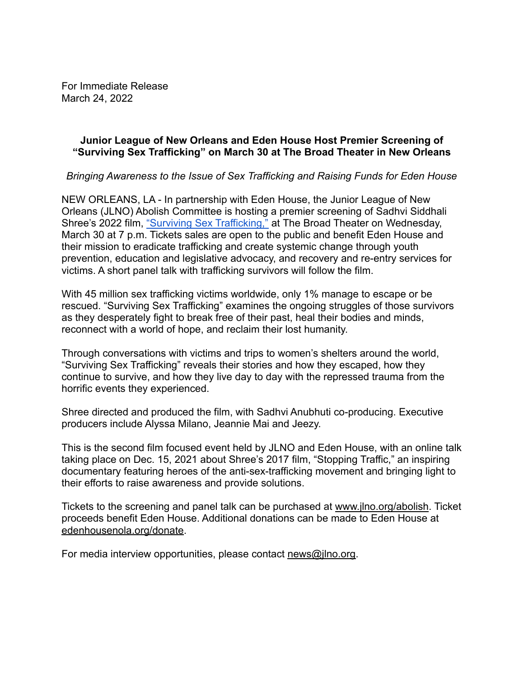For Immediate Release March 24, 2022

### **Junior League of New Orleans and Eden House Host Premier Screening of "Surviving Sex Trafficking" on March 30 at The Broad Theater in New Orleans**

*Bringing Awareness to the Issue of Sex Trafficking and Raising Funds for Eden House*

NEW ORLEANS, LA - In partnership with Eden House, the Junior League of New Orleans (JLNO) Abolish Committee is hosting a premier screening of Sadhvi Siddhali Shree's 2022 film, ["Surviving Sex Trafficking,"](https://survivingsextraffickingfilm.com/) at The Broad Theater on Wednesday, March 30 at 7 p.m. Tickets sales are open to the public and benefit Eden House and their mission to eradicate trafficking and create systemic change through youth prevention, education and legislative advocacy, and recovery and re-entry services for victims. A short panel talk with trafficking survivors will follow the film.

With 45 million sex trafficking victims worldwide, only 1% manage to escape or be rescued. "Surviving Sex Trafficking" examines the ongoing struggles of those survivors as they desperately fight to break free of their past, heal their bodies and minds, reconnect with a world of hope, and reclaim their lost humanity.

Through conversations with victims and trips to women's shelters around the world, "Surviving Sex Trafficking" reveals their stories and how they escaped, how they continue to survive, and how they live day to day with the repressed trauma from the horrific events they experienced.

Shree directed and produced the film, with Sadhvi Anubhuti co-producing. Executive producers include Alyssa Milano, Jeannie Mai and Jeezy.

This is the second film focused event held by JLNO and Eden House, with an online talk taking place on Dec. 15, 2021 about Shree's 2017 film, "Stopping Traffic," an inspiring documentary featuring heroes of the anti-sex-trafficking movement and bringing light to their efforts to raise awareness and provide solutions.

Tickets to the screening and panel talk can be purchased at [www.jlno.org/abolish](http://www.jlno.org/abolish). Ticket proceeds benefit Eden House. Additional donations can be made to Eden House at [edenhousenola.org/donate.](https://edenhousenola.org/donate/)

For media interview opportunities, please contact [news@jlno.org.](mailto:news@jlno.org)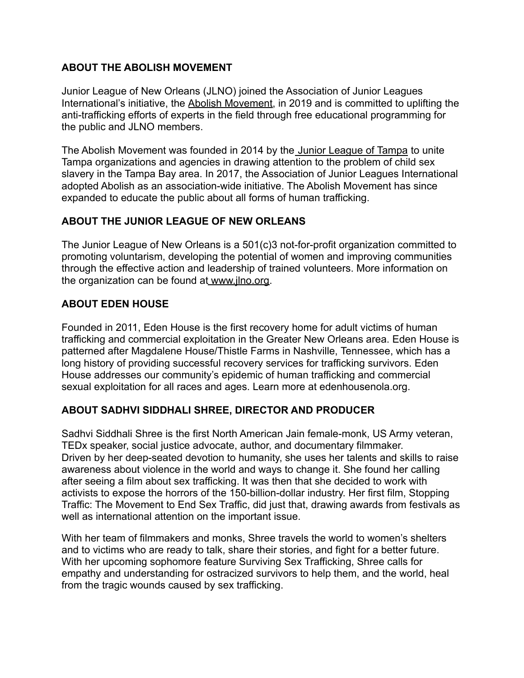# **ABOUT THE ABOLISH MOVEMENT**

Junior League of New Orleans (JLNO) joined the Association of Junior Leagues International's initiative, the [Abolish Movement,](https://abolishmovement.org/) in 2019 and is committed to uplifting the anti-trafficking efforts of experts in the field through free educational programming for the public and JLNO members.

The Abolish Movement was founded in 2014 by the Junior [League of Tampa](https://www.jltampa.org/community/advocacy/the-abolish-movement/) to unite Tampa organizations and agencies in drawing attention to the problem of child sex slavery in the Tampa Bay area. In 2017, the Association of Junior Leagues International adopted Abolish as an association-wide initiative. The Abolish Movement has since expanded to educate the public about all forms of human trafficking.

# **ABOUT THE JUNIOR LEAGUE OF NEW ORLEANS**

The Junior League of New Orleans is a 501(c)3 not-for-profit organization committed to promoting voluntarism, developing the potential of women and improving communities through the effective action and leadership of trained volunteers. More information on the organization can be found a[t](http://www.jlno.org/) [www.jlno.org.](http://www.jlno.org)

## **ABOUT EDEN HOUSE**

Founded in 2011, Eden House is the first recovery home for adult victims of human trafficking and commercial exploitation in the Greater New Orleans area. Eden House is patterned after [Magdalene House/Thistle Farms](https://thistlefarms.org/) in Nashville, Tennessee, which has a long history of providing successful recovery services for trafficking survivors. Eden House addresses our community's epidemic of human trafficking and commercial sexual exploitation for all races and ages. Learn more at edenhousenola.org.

#### **ABOUT SADHVI SIDDHALI SHREE, DIRECTOR AND PRODUCER**

Sadhvi Siddhali Shree is the first North American Jain female-monk, US Army veteran, TEDx speaker, social justice advocate, author, and documentary filmmaker. Driven by her deep-seated devotion to humanity, she uses her talents and skills to raise awareness about violence in the world and ways to change it. She found her calling after seeing a film about sex trafficking. It was then that she decided to work with activists to expose the horrors of the 150-billion-dollar industry. Her first film, Stopping Traffic: The Movement to End Sex Traffic, did just that, drawing awards from festivals as well as international attention on the important issue.

With her team of filmmakers and monks, Shree travels the world to women's shelters and to victims who are ready to talk, share their stories, and fight for a better future. With her upcoming sophomore feature Surviving Sex Trafficking, Shree calls for empathy and understanding for ostracized survivors to help them, and the world, heal from the tragic wounds caused by sex trafficking.